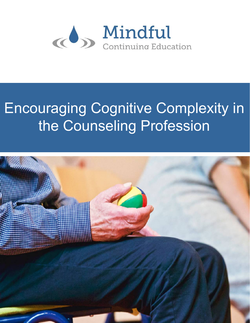

# Encouraging Cognitive Complexity in the Counseling Profession

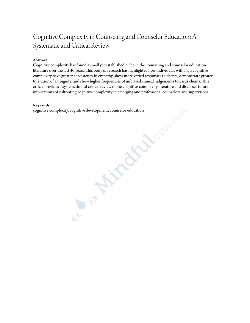# Cognitive Complexity in Counseling and Counselor Education: A Systematic and Critical Review

### **Abstract**

Cognitive complexity has found a small yet established niche in the counseling and counselor education literature over the last 40 years. This body of research has highlighted how individuals with high cognitive complexity have greater consistency in empathy, show more varied responses to clients, demonstrate greater toleration of ambiguity, and show higher frequencies of unbiased clinical judgements towards clients. This article provides a systematic and critical review of the cognitive complexity literature and discusses future implications of cultivating cognitive complexity in emerging and professional counselors and supervisors.<br> **Keywords**<br>
cognitive complexity, cognitive development, counselor education<br>
cognitive complexity,  $\frac{1}{2}$ 

#### **Keywords**

cognitive complexity, cognitive development, counselor education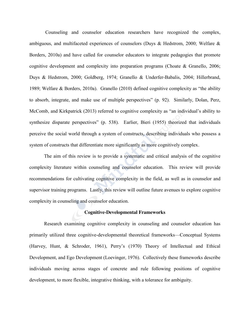Counseling and counselor education researchers have recognized the complex, ambiguous, and multifaceted experiences of counselors (Duys & Hedstrom, 2000; Welfare & Borders, 2010a) and have called for counselor educators to integrate pedagogies that promote cognitive development and complexity into preparation programs (Choate & Granello, 2006; Duys & Hedstrom, 2000; Goldberg, 1974; Granello & Underfer-Babalis, 2004; Hillerbrand, 1989; Welfare & Borders, 2010a). Granello (2010) defined cognitive complexity as "the ability to absorb, integrate, and make use of multiple perspectives" (p. 92). Similarly, Dolan, Perz, McComb, and Kirkpatrick (2013) referred to cognitive complexity as "an individual's ability to synthesize disparate perspectives" (p. 538). Earlier, Bieri (1955) theorized that individuals perceive the social world through a system of constructs, describing individuals who possess a system of constructs that differentiate more significantly as more cognitively complex.

The aim of this review is to provide a systematic and critical analysis of the cognitive complexity literature within counseling and counselor education. This review will provide recommendations for cultivating cognitive complexity in the field, as well as in counselor and supervisor training programs. Lastly, this review will outline future avenues to explore cognitive complexity in counseling and counselor education.

### **Cognitive-Developmental Frameworks**

Research examining cognitive complexity in counseling and counselor education has primarily utilized three cognitive-developmental theoretical frameworks—Conceptual Systems (Harvey, Hunt, & Schroder, 1961), Perry's (1970) Theory of Intellectual and Ethical Development, and Ego Development (Loevinger, 1976). Collectively these frameworks describe individuals moving across stages of concrete and rule following positions of cognitive development, to more flexible, integrative thinking, with a tolerance for ambiguity.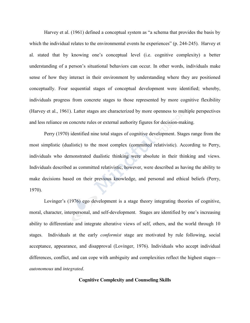Harvey et al. (1961) defined a conceptual system as "a schema that provides the basis by which the individual relates to the environmental events he experiences" (p. 244-245). Harvey et al. stated that by knowing one's conceptual level (i.e. cognitive complexity) a better understanding of a person's situational behaviors can occur. In other words, individuals make sense of how they interact in their environment by understanding where they are positioned conceptually. Four sequential stages of conceptual development were identified; whereby, individuals progress from concrete stages to those represented by more cognitive flexibility (Harvey et al., 1961). Latter stages are characterized by more openness to multiple perspectives and less reliance on concrete rules or external authority figures for decision-making.

Perry (1970) identified nine total stages of cognitive development. Stages range from the most simplistic (dualistic) to the most complex (committed relativistic). According to Perry, individuals who demonstrated dualistic thinking were absolute in their thinking and views. Individuals described as committed relativistic, however, were described as having the ability to make decisions based on their previous knowledge, and personal and ethical beliefs (Perry, 1970).

Lovinger's (1976) ego development is a stage theory integrating theories of cognitive, moral, character, interpersonal, and self-development. Stages are identified by one's increasing ability to differentiate and integrate alterative views of self, others, and the world through 10 stages. Individuals at the early *conformist* stage are motivated by rule following, social acceptance, appearance, and disapproval (Lovinger, 1976). Individuals who accept individual differences, conflict, and can cope with ambiguity and complexities reflect the highest stages *autonomous* and *integrated*.

# **Cognitive Complexity and Counseling Skills**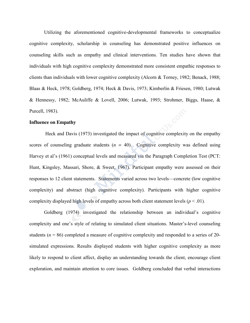Utilizing the aforementioned cognitive-developmental frameworks to conceptualize cognitive complexity, scholarship in counseling has demonstrated positive influences on counseling skills such as empathy and clinical interventions. Ten studies have shown that individuals with high cognitive complexity demonstrated more consistent empathic responses to clients than individuals with lower cognitive complexity (Alcorn & Torney, 1982; Benack, 1988; Blaas & Heck, 1978; Goldberg, 1974; Heck & Davis, 1973; Kimberlin & Friesen, 1980; Lutwak & Hennessy, 1982; McAuliffe & Lovell, 2006; Lutwak, 1993; Strohmer, Biggs, Haase, & Purcell, 1983).

#### **Influence on Empathy**

Heck and Davis (1973) investigated the impact of cognitive complexity on the empathy scores of counseling graduate students  $(n = 40)$ . Cognitive complexity was defined using Harvey et al's (1961) conceptual levels and measured via the Paragraph Completion Test (PCT: Hunt, Kingsley, Massari, Shore, & Sweet, 1967). Participant empathy were assessed on their responses to 12 client statements. Statements varied across two levels—concrete (low cognitive complexity) and abstract (high cognitive complexity). Participants with higher cognitive complexity displayed high levels of empathy across both client statement levels ( $p < .01$ ).

Goldberg (1974) investigated the relationship between an individual's cognitive complexity and one's style of relating to simulated client situations. Master's-level counseling students ( $n = 86$ ) completed a measure of cognitive complexity and responded to a series of 20simulated expressions. Results displayed students with higher cognitive complexity as more likely to respond to client affect, display an understanding towards the client, encourage client exploration, and maintain attention to core issues. Goldberg concluded that verbal interactions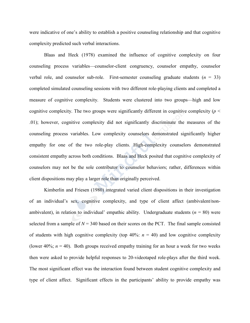were indicative of one's ability to establish a positive counseling relationship and that cognitive complexity predicted such verbal interactions.

Blaas and Heck (1978) examined the influence of cognitive complexity on four counseling process variables—counselor-client congruency, counselor empathy, counselor verbal role, and counselor sub-role. First-semester counseling graduate students  $(n = 33)$ completed simulated counseling sessions with two different role-playing clients and completed a measure of cognitive complexity. Students were clustered into two groups—high and low cognitive complexity. The two groups were significantly different in cognitive complexity ( $p <$ .01); however, cognitive complexity did not significantly discriminate the measures of the counseling process variables. Low complexity counselors demonstrated significantly higher empathy for one of the two role-play clients. High-complexity counselors demonstrated consistent empathy across both conditions. Blaas and Heck posited that cognitive complexity of counselors may not be the sole contributor to counselor behaviors; rather, differences within client dispositions may play a larger role than originally perceived.

Kimberlin and Friesen (1980) integrated varied client dispositions in their investigation of an individual's sex, cognitive complexity, and type of client affect (ambivalent/nonambivalent), in relation to individual' empathic ability. Undergraduate students  $(n = 80)$  were selected from a sample of  $N = 340$  based on their scores on the PCT. The final sample consisted of students with high cognitive complexity (top  $40\%$ :  $n = 40$ ) and low cognitive complexity (lower 40%;  $n = 40$ ). Both groups received empathy training for an hour a week for two weeks then were asked to provide helpful responses to 20-videotaped role-plays after the third week. The most significant effect was the interaction found between student cognitive complexity and type of client affect. Significant effects in the participants' ability to provide empathy was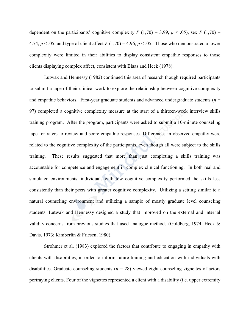dependent on the participants' cognitive complexity  $F(1,70) = 3.99$ ,  $p < .05$ ), sex  $F(1,70) =$ 4.74,  $p < .05$ , and type of client affect  $F(1,70) = 4.96$ ,  $p < .05$ . Those who demonstrated a lower complexity were limited in their abilities to display consistent empathic responses to those clients displaying complex affect, consistent with Blaas and Heck (1978).

Lutwak and Hennessy (1982) continued this area of research though required participants to submit a tape of their clinical work to explore the relationship between cognitive complexity and empathic behaviors. First-year graduate students and advanced undergraduate students  $(n =$ 97) completed a cognitive complexity measure at the start of a thirteen-week interview skills training program. After the program, participants were asked to submit a 10-minute counseling tape for raters to review and score empathic responses. Differences in observed empathy were related to the cognitive complexity of the participants, even though all were subject to the skills training. These results suggested that more than just completing a skills training was accountable for competence and engagement in complex clinical functioning. In both real and simulated environments, individuals with low cognitive complexity performed the skills less consistently than their peers with greater cognitive complexity. Utilizing a setting similar to a natural counseling environment and utilizing a sample of mostly graduate level counseling students, Lutwak and Hennessy designed a study that improved on the external and internal validity concerns from previous studies that used analogue methods (Goldberg, 1974; Heck & Davis, 1973; Kimberlin & Friesen, 1980).

Strohmer et al. (1983) explored the factors that contribute to engaging in empathy with clients with disabilities, in order to inform future training and education with individuals with disabilities. Graduate counseling students  $(n = 28)$  viewed eight counseling vignettes of actors portraying clients. Four of the vignettes represented a client with a disability (i.e. upper extremity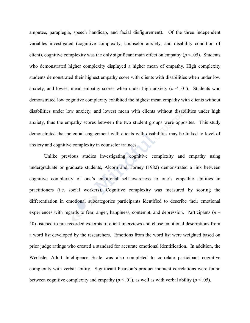amputee, paraplegia, speech handicap, and facial disfigurement). Of the three independent variables investigated (cognitive complexity, counselor anxiety, and disability condition of client), cognitive complexity was the only significant main effect on empathy ( $p < .05$ ). Students who demonstrated higher complexity displayed a higher mean of empathy. High complexity students demonstrated their highest empathy score with clients with disabilities when under low anxiety, and lowest mean empathy scores when under high anxiety  $(p < .01)$ . Students who demonstrated low cognitive complexity exhibited the highest mean empathy with clients without disabilities under low anxiety, and lowest mean with clients without disabilities under high anxiety, thus the empathy scores between the two student groups were opposites. This study demonstrated that potential engagement with clients with disabilities may be linked to level of anxiety and cognitive complexity in counselor trainees.

Unlike previous studies investigating cognitive complexity and empathy using undergraduate or graduate students, Alcorn and Torney (1982) demonstrated a link between cognitive complexity of one's emotional self-awareness to one's empathic abilities in practitioners (i.e. social workers). Cognitive complexity was measured by scoring the differentiation in emotional subcategories participants identified to describe their emotional experiences with regards to fear, anger, happiness, contempt, and depression. Participants  $(n =$ 40) listened to pre-recorded excerpts of client interviews and chose emotional descriptions from a word list developed by the researchers. Emotions from the word list were weighted based on prior judge ratings who created a standard for accurate emotional identification. In addition, the Wechsler Adult Intelligence Scale was also completed to correlate participant cognitive complexity with verbal ability. Significant Pearson's product-moment correlations were found between cognitive complexity and empathy  $(p < .01)$ , as well as with verbal ability  $(p < .05)$ .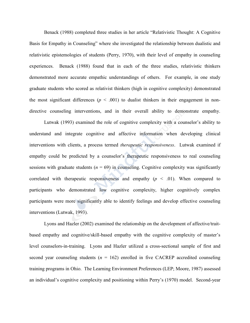Benack (1988) completed three studies in her article "Relativistic Thought: A Cognitive Basis for Empathy in Counseling" where she investigated the relationship between dualistic and relativistic epistemologies of students (Perry, 1970), with their level of empathy in counseling experiences. Benack (1988) found that in each of the three studies, relativistic thinkers demonstrated more accurate empathic understandings of others. For example, in one study graduate students who scored as relativist thinkers (high in cognitive complexity) demonstrated the most significant differences ( $p < .001$ ) to dualist thinkers in their engagement in nondirective counseling interventions, and in their overall ability to demonstrate empathy.

Lutwak (1993) examined the role of cognitive complexity with a counselor's ability to understand and integrate cognitive and affective information when developing clinical interventions with clients, a process termed *therapeutic responsiveness.* Lutwak examined if empathy could be predicted by a counselor's therapeutic responsiveness to real counseling sessions with graduate students ( $n = 69$ ) in counseling. Cognitive complexity was significantly correlated with therapeutic responsiveness and empathy  $(p \le 0.01)$ . When compared to participants who demonstrated low cognitive complexity, higher cognitively complex participants were more significantly able to identify feelings and develop effective counseling interventions (Lutwak, 1993).

Lyons and Hazler (2002) examined the relationship on the development of affective/traitbased empathy and cognitive/skill-based empathy with the cognitive complexity of master's level counselors-in-training. Lyons and Hazler utilized a cross-sectional sample of first and second year counseling students  $(n = 162)$  enrolled in five CACREP accredited counseling training programs in Ohio. The Learning Environment Preferences (LEP; Moore, 1987) assessed an individual's cognitive complexity and positioning within Perry's (1970) model. Second-year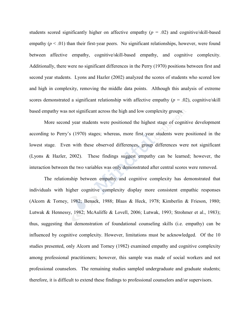students scored significantly higher on affective empathy  $(p = .02)$  and cognitive/skill-based empathy  $(p < .01)$  than their first-year peers. No significant relationships, however, were found between affective empathy, cognitive/skill-based empathy, and cognitive complexity. Additionally, there were no significant differences in the Perry (1970) positions between first and second year students. Lyons and Hazler (2002) analyzed the scores of students who scored low and high in complexity, removing the middle data points. Although this analysis of extreme scores demonstrated a significant relationship with affective empathy  $(p = .02)$ , cognitive/skill based empathy was not significant across the high and low complexity groups.

More second year students were positioned the highest stage of cognitive development according to Perry's (1970) stages; whereas, more first year students were positioned in the lowest stage. Even with these observed differences, group differences were not significant (Lyons & Hazler, 2002). These findings suggest empathy can be learned; however, the interaction between the two variables was only demonstrated after central scores were removed.

The relationship between empathy and cognitive complexity has demonstrated that individuals with higher cognitive complexity display more consistent empathic responses (Alcorn & Torney, 1982; Benack, 1988; Blaas & Heck, 1978; Kimberlin & Frieson, 1980; Lutwak & Hennessy, 1982; McAuliffe & Lovell, 2006; Lutwak, 1993; Strohmer et al., 1983); thus, suggesting that demonstration of foundational counseling skills (i.e. empathy) can be influenced by cognitive complexity. However, limitations must be acknowledged. Of the 10 studies presented, only Alcorn and Torney (1982) examined empathy and cognitive complexity among professional practitioners; however, this sample was made of social workers and not professional counselors. The remaining studies sampled undergraduate and graduate students; therefore, it is difficult to extend these findings to professional counselors and/or supervisors.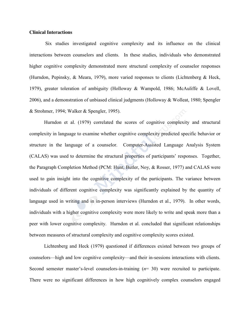# **Clinical Interactions**

Six studies investigated cognitive complexity and its influence on the clinical interactions between counselors and clients. In these studies, individuals who demonstrated higher cognitive complexity demonstrated more structural complexity of counselor responses (Hurndon, Pepinsky, & Meara, 1979), more varied responses to clients (Lichtenberg & Heck, 1979), greater toleration of ambiguity (Holloway & Wampold, 1986; McAuliffe & Lovell, 2006), and a demonstration of unbiased clinical judgments (Holloway & Wolleat, 1980; Spengler & Strohmer, 1994; Walker & Spengler, 1995).

Hurndon et al. (1979) correlated the scores of cognitive complexity and structural complexity in language to examine whether cognitive complexity predicted specific behavior or structure in the language of a counselor. Computer-Assisted Language Analysis System (CALAS) was used to determine the structural properties of participants' responses. Together, the Paragraph Completion Method (PCM: Hunt, Butler, Noy, & Rosser, 1977) and CALAS were used to gain insight into the cognitive complexity of the participants. The variance between individuals of different cognitive complexity was significantly explained by the quantity of language used in writing and in in-person interviews (Hurndon et al., 1979). In other words, individuals with a higher cognitive complexity were more likely to write and speak more than a peer with lower cognitive complexity. Hurndon et al. concluded that significant relationships between measures of structural complexity and cognitive complexity scores existed.

Lichtenberg and Heck (1979) questioned if differences existed between two groups of counselors—high and low cognitive complexity—and their in-sessions interactions with clients. Second semester master's-level counselors-in-training (*n*= 30) were recruited to participate. There were no significant differences in how high cognitively complex counselors engaged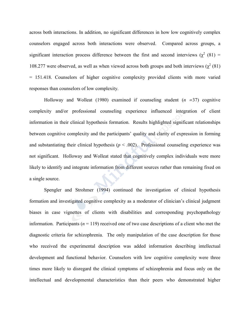across both interactions. In addition, no significant differences in how low cognitively complex counselors engaged across both interactions were observed. Compared across groups, a significant interaction process difference between the first and second interviews ( $\chi^2$  (81) = 108.277 were observed, as well as when viewed across both groups and both interviews ( $\chi^2$  (81) = 151.418. Counselors of higher cognitive complexity provided clients with more varied responses than counselors of low complexity.

Holloway and Wolleat (1980) examined if counseling student (*n =*37) cognitive complexity and/or professional counseling experience influenced integration of client information in their clinical hypothesis formation. Results highlighted significant relationships between cognitive complexity and the participants' quality and clarity of expression in forming and substantiating their clinical hypothesis  $(p < .002)$ . Professional counseling experience was not significant. Holloway and Wolleat stated that cognitively complex individuals were more likely to identify and integrate information from different sources rather than remaining fixed on a single source.

Spengler and Strohmer (1994) continued the investigation of clinical hypothesis formation and investigated cognitive complexity as a moderator of clinician's clinical judgment biases in case vignettes of clients with disabilities and corresponding psychopathology information. Participants ( $n = 119$ ) received one of two case descriptions of a client who met the diagnostic criteria for schizophrenia. The only manipulation of the case description for those who received the experimental description was added information describing intellectual development and functional behavior. Counselors with low cognitive complexity were three times more likely to disregard the clinical symptoms of schizophrenia and focus only on the intellectual and developmental characteristics than their peers who demonstrated higher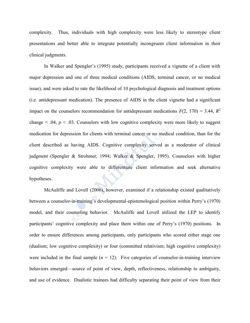complexity. Thus, individuals with high complexity were less likely to stereotype client presentations and better able to integrate potentially incongruent client information in their clinical judgments.

In Walker and Spengler's (1995) study, participants received a vignette of a client with major depression and one of three medical conditions (AIDS, terminal cancer, or no medical issue), and were asked to rate the likelihood of 10 psychological diagnosis and treatment options (i.e. antidepressant medication). The presence of AIDS in the client vignette had a significant impact on the counselors recommendation for antidepressant medications  $F(2, 170) = 3.44$ ,  $R^2$ change = .04,  $p < .03$ . Counselors with low cognitive complexity were more likely to suggest medication for depression for clients with terminal cancer or no medical condition, than for the client described as having AIDS. Cognitive complexity served as a moderator of clinical judgment (Spengler & Strohmer, 1994; Walker & Spengler, 1995). Counselors with higher cognitive complexity were able to differentiate client information and seek alternative hypotheses.

McAuliffe and Lovell (2006), however, examined if a relationship existed qualitatively between a counselor-in-training's developmental-epistemological position within Perry's (1970) model, and their counseling behavior. McAuliffe and Lovell utilized the LEP to identify participants' cognitive complexity and place them within one of Perry's (1970) positions. In order to ensure differences among participants, only participants who scored either stage one (dualism; low cognitive complexity) or four (committed relativism; high cognitive complexity) were included in the final sample  $(n = 12)$ . Five categories of counselor-in-training interview behaviors emerged—source of point of view, depth, reflectiveness, relationship to ambiguity, and use of evidence. Dualistic trainees had difficulty separating their point of view from their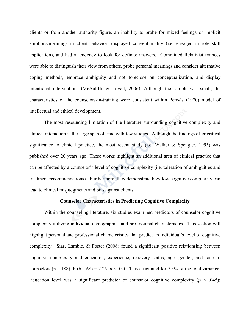clients or from another authority figure, an inability to probe for mixed feelings or implicit emotions/meanings in client behavior, displayed conventionality (i.e. engaged in rote skill application), and had a tendency to look for definite answers. Committed Relativist trainees were able to distinguish their view from others, probe personal meanings and consider alternative coping methods, embrace ambiguity and not foreclose on conceptualization, and display intentional interventions (McAuliffe & Lovell, 2006). Although the sample was small, the characteristics of the counselors-in-training were consistent within Perry's (1970) model of intellectual and ethical development.

The most resounding limitation of the literature surrounding cognitive complexity and clinical interaction is the large span of time with few studies. Although the findings offer critical significance to clinical practice, the most recent study (i.e. Walker  $\&$  Spengler, 1995) was published over 20 years ago. These works highlight an additional area of clinical practice that can be affected by a counselor's level of cognitive complexity (i.e. toleration of ambiguities and treatment recommendations). Furthermore, they demonstrate how low cognitive complexity can lead to clinical misjudgments and bias against clients.

### **Counselor Characteristics in Predicting Cognitive Complexity**

Within the counseling literature, six studies examined predictors of counselor cognitive complexity utilizing individual demographics and professional characteristics. This section will highlight personal and professional characteristics that predict an individual's level of cognitive complexity. Sias, Lambie, & Foster (2006) found a significant positive relationship between cognitive complexity and education, experience, recovery status, age, gender, and race in counselors  $(n - 188)$ ,  $F (6, 168) = 2.25$ ,  $p < .040$ . This accounted for 7.5% of the total variance. Education level was a significant predictor of counselor cognitive complexity  $(p < .045)$ ;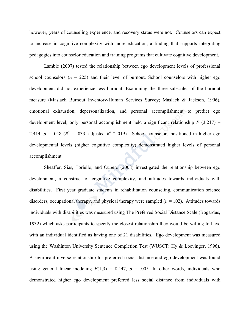however, years of counseling experience, and recovery status were not. Counselors can expect to increase in cognitive complexity with more education, a finding that supports integrating pedagogies into counselor education and training programs that cultivate cognitive development.

Lambie (2007) tested the relationship between ego development levels of professional school counselors  $(n = 225)$  and their level of burnout. School counselors with higher ego development did not experience less burnout. Examining the three subscales of the burnout measure (Maslach Burnout Inventory-Human Services Survey; Maslach & Jackson, 1996), emotional exhaustion, depersonalization, and personal accomplishment to predict ego development level, only personal accomplishment held a significant relationship  $F(3,217) =$ 2.414,  $p = .048$  ( $R^2 = .033$ , adjusted  $R^2 = .019$ ). School counselors positioned in higher ego developmental levels (higher cognitive complexity) demonstrated higher levels of personal accomplishment.

Sheaffer, Sias, Toriello, and Cubero (2008) investigated the relationship between ego development, a construct of cognitive complexity, and attitudes towards individuals with disabilities. First year graduate students in rehabilitation counseling, communication science disorders, occupational therapy, and physical therapy were sampled  $(n = 102)$ . Attitudes towards individuals with disabilities was measured using The Preferred Social Distance Scale (Bogardus, 1932) which asks participants to specify the closest relationship they would be willing to have with an individual identified as having one of 21 disabilities. Ego development was measured using the Washinton University Sentence Completion Test (WUSCT: Hy & Loevinger, 1996). A significant inverse relationship for preferred social distance and ego development was found using general linear modeling  $F(1,3) = 8.447$ ,  $p = .005$ . In other words, individuals who demonstrated higher ego development preferred less social distance from individuals with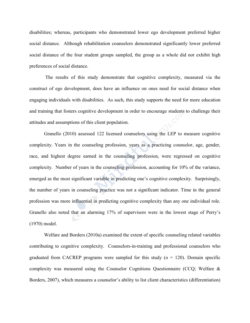disabilities; whereas, participants who demonstrated lower ego development preferred higher social distance. Although rehabilitation counselors demonstrated significantly lower preferred social distance of the four student groups sampled, the group as a whole did not exhibit high preferences of social distance.

The results of this study demonstrate that cognitive complexity, measured via the construct of ego development, does have an influence on ones need for social distance when engaging individuals with disabilities. As such, this study supports the need for more education and training that fosters cognitive development in order to encourage students to challenge their attitudes and assumptions of this client population.

Granello (2010) assessed 122 licensed counselors using the LEP to measure cognitive complexity. Years in the counseling profession, years as a practicing counselor, age, gender, race, and highest degree earned in the counseling profession, were regressed on cognitive complexity. Number of years in the counseling profession, accounting for 10% of the variance, emerged as the most significant variable in predicting one's cognitive complexity. Surprisingly, the number of years in counseling practice was not a significant indicator. Time in the general profession was more influential in predicting cognitive complexity than any one individual role. Granello also noted that an alarming 17% of supervisors were in the lowest stage of Perry's (1970) model.

Welfare and Borders (2010a) examined the extent of specific counseling related variables contributing to cognitive complexity. Counselors-in-training and professional counselors who graduated from CACREP programs were sampled for this study  $(n = 120)$ . Domain specific complexity was measured using the Counselor Cognitions Questionnaire (CCQ; Welfare & Borders, 2007), which measures a counselor's ability to list client characteristics (differentiation)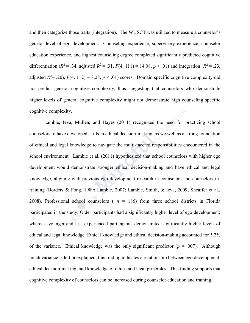and then categorize those traits (integration). The WUSCT was utilized to measure a counselor's general level of ego development. Counseling experience, supervisory experience, counselor education experience, and highest counseling degree completed significantly predicted cognitive differentiation ( $R^2 = .34$ , adjusted  $R^2 = .31$ ,  $F(4, 111) = 14.08$ ,  $p < .01$ ) and integration ( $R^2 = .23$ , adjusted  $R^2 = .20$ ,  $F(4, 112) = 8.28$ ,  $p < .01$ ) scores. Domain specific cognitive complexity did not predict general cognitive complexity, thus suggesting that counselors who demonstrate higher levels of general cognitive complexity might not demonstrate high counseling specific cognitive complexity.

Lambie, Ieva, Mullen, and Hayes (2011) recognized the need for practicing school counselors to have developed skills in ethical decision-making, as we well as a strong foundation of ethical and legal knowledge to navigate the multi-faceted responsibilities encountered in the school environment. Lambie et al. (2011) hypothesized that school counselors with higher ego development would demonstrate stronger ethical decision-making and have ethical and legal knowledge, aligning with previous ego development research in counselors and counselors-intraining (Borders & Fong, 1989; Lambie, 2007; Lambie, Smith, & Ieva, 2009; Sheaffer et al., 2008). Professional school counselors ( $n = 186$ ) from three school districts in Florida participated in the study. Older participants had a significantly higher level of ego development; whereas, younger and less experienced participants demonstrated significantly higher levels of ethical and legal knowledge. Ethical knowledge and ethical decision-making accounted for 5.2% of the variance. Ethical knowledge was the only significant predictor  $(p = .007)$ . Although much variance is left unexplained, this finding indicates a relationship between ego development, ethical decision-making, and knowledge of ethics and legal principles. This finding supports that cognitive complexity of counselors can be increased during counselor education and training.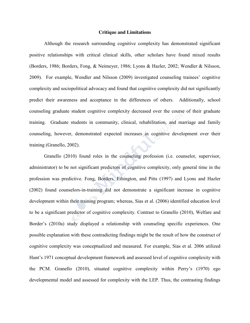#### **Critique and Limitations**

Although the research surrounding cognitive complexity has demonstrated significant positive relationships with critical clinical skills, other scholars have found mixed results (Borders, 1986; Borders, Fong, & Neimeyer, 1986; Lyons & Hazler, 2002; Wendler & Nilsson, 2009). For example, Wendler and Nilsson (2009) investigated counseling trainees' cognitive complexity and sociopolitical advocacy and found that cognitive complexity did not significantly predict their awareness and acceptance in the differences of others. Additionally, school counseling graduate student cognitive complexity decreased over the course of their graduate training. Graduate students in community, clinical, rehabilitation, and marriage and family counseling, however, demonstrated expected increases in cognitive development over their training (Granello, 2002).

Granello (2010) found roles in the counseling profession (i.e. counselor, supervisor, administrator) to be not significant predictors of cognitive complexity, only general time in the profession was predictive. Fong, Borders, Ethington, and Pitts (1997) and Lyons and Hazler (2002) found counselors-in-training did not demonstrate a significant increase in cognitive development within their training program; whereas, Sias et al. (2006) identified education level to be a significant predictor of cognitive complexity. Contrast to Granello (2010), Welfare and Border's (2010a) study displayed a relationship with counseling specific experiences. One possible explanation with these contradicting findings might be the result of how the construct of cognitive complexity was conceptualized and measured. For example, Sias et al. 2006 utilized Hunt's 1971 conceptual development framework and assessed level of cognitive complexity with the PCM. Granello (2010), situated cognitive complexity within Perry's (1970) ego developmental model and assessed for complexity with the LEP. Thus, the contrasting findings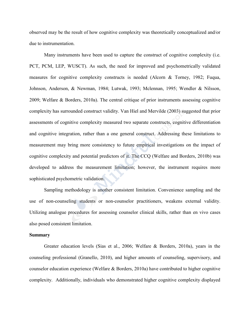observed may be the result of how cognitive complexity was theoretically conceptualized and/or due to instrumentation.

Many instruments have been used to capture the construct of cognitive complexity (i.e. PCT, PCM, LEP, WUSCT). As such, the need for improved and psychometrically validated measures for cognitive complexity constructs is needed (Alcorn & Torney, 1982; Fuqua, Johnson, Anderson, & Newman, 1984; Lutwak, 1993; Mclennan, 1995; Wendler & Nilsson, 2009; Welfare & Borders, 2010a). The central critique of prior instruments assessing cognitive complexity has surrounded construct validity. Van Hiel and Mervilde (2003) suggested that prior assessments of cognitive complexity measured two separate constructs, cognitive differentiation and cognitive integration, rather than a one general construct. Addressing these limitations to measurement may bring more consistency to future empirical investigations on the impact of cognitive complexity and potential predictors of it. The CCQ (Welfare and Borders, 2010b) was developed to address the measurement limitation; however, the instrument requires more sophisticated psychometric validation.

Sampling methodology is another consistent limitation. Convenience sampling and the use of non-counseling students or non-counselor practitioners, weakens external validity. Utilizing analogue procedures for assessing counselor clinical skills, rather than en vivo cases also posed consistent limitation.

#### **Summary**

Greater education levels (Sias et al., 2006; Welfare & Borders, 2010a), years in the counseling professional (Granello, 2010), and higher amounts of counseling, supervisory, and counselor education experience (Welfare & Borders, 2010a) have contributed to higher cognitive complexity. Additionally, individuals who demonstrated higher cognitive complexity displayed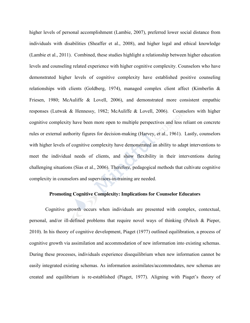higher levels of personal accomplishment (Lambie, 2007), preferred lower social distance from individuals with disabilities (Sheaffer et al., 2008), and higher legal and ethical knowledge (Lambie et al., 2011). Combined, these studies highlight a relationship between higher education levels and counseling related experience with higher cognitive complexity. Counselors who have demonstrated higher levels of cognitive complexity have established positive counseling relationships with clients (Goldberg, 1974), managed complex client affect (Kimberlin  $\&$ Friesen, 1980; McAuliffe & Lovell, 2006), and demonstrated more consistent empathic responses (Lutwak & Hennessy, 1982; McAuliffe & Lovell, 2006). Counselors with higher cognitive complexity have been more open to multiple perspectives and less reliant on concrete rules or external authority figures for decision-making (Harvey, et al., 1961). Lastly, counselors with higher levels of cognitive complexity have demonstrated an ability to adapt interventions to meet the individual needs of clients, and show flexibility in their interventions during challenging situations (Sias et al., 2006). Therefore, pedagogical methods that cultivate cognitive complexity in counselors and supervisors-in-training are needed.

# **Promoting Cognitive Complexity: Implications for Counselor Educators**

Cognitive growth occurs when individuals are presented with complex, contextual, personal, and/or ill-defined problems that require novel ways of thinking (Pelech & Pieper, 2010). In his theory of cognitive development, Piaget (1977) outlined equilibration, a process of cognitive growth via assimilation and accommodation of new information into existing schemas. During these processes, individuals experience disequilibrium when new information cannot be easily integrated existing schemas. As information assimilates/accommodates, new schemas are created and equilibrium is re-established (Piaget, 1977). Aligning with Piaget's theory of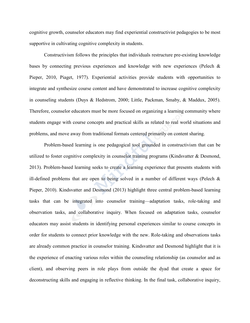cognitive growth, counselor educators may find experiential constructivist pedagogies to be most supportive in cultivating cognitive complexity in students.

Constructivism follows the principles that individuals restructure pre-existing knowledge bases by connecting previous experiences and knowledge with new experiences (Pelech & Pieper, 2010, Piaget, 1977). Experiential activities provide students with opportunities to integrate and synthesize course content and have demonstrated to increase cognitive complexity in counseling students (Duys & Hedstrom, 2000; Little, Packman, Smaby, & Maddux, 2005). Therefore, counselor educators must be more focused on organizing a learning community where students engage with course concepts and practical skills as related to real world situations and problems, and move away from traditional formats centered primarily on content sharing.

Problem-based learning is one pedagogical tool grounded in constructivism that can be utilized to foster cognitive complexity in counselor training programs (Kindsvatter & Desmond, 2013). Problem-based learning seeks to create a learning experience that presents students with ill-defined problems that are open to being solved in a number of different ways (Pelech  $\&$ Pieper, 2010). Kindsvatter and Desmond (2013) highlight three central problem-based learning tasks that can be integrated into counselor training—adaptation tasks, role-taking and observation tasks, and collaborative inquiry. When focused on adaptation tasks, counselor educators may assist students in identifying personal experiences similar to course concepts in order for students to connect prior knowledge with the new. Role-taking and observations tasks are already common practice in counselor training. Kindsvatter and Desmond highlight that it is the experience of enacting various roles within the counseling relationship (as counselor and as client), and observing peers in role plays from outside the dyad that create a space for deconstructing skills and engaging in reflective thinking. In the final task, collaborative inquiry,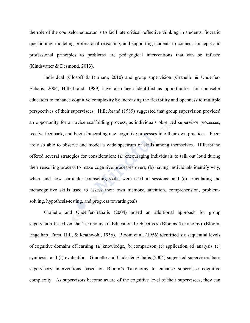the role of the counselor educator is to facilitate critical reflective thinking in students. Socratic questioning, modeling professional reasoning, and supporting students to connect concepts and professional principles to problems are pedagogical interventions that can be infused (Kindsvatter & Desmond, 2013).

Individual (Glosoff & Durham, 2010) and group supervision (Granello & Underfer-Babalis, 2004; Hillerbrand, 1989) have also been identified as opportunities for counselor educators to enhance cognitive complexity by increasing the flexibility and openness to multiple perspectives of their supervisees. Hillerbrand (1989) suggested that group supervision provided an opportunity for a novice scaffolding process, as individuals observed supervisor processes, receive feedback, and begin integrating new cognitive processes into their own practices. Peers are also able to observe and model a wide spectrum of skills among themselves. Hillerbrand offered several strategies for consideration: (a) encouraging individuals to talk out loud during their reasoning process to make cognitive processes overt; (b) having individuals identify why, when, and how particular counseling skills were used in sessions; and (c) articulating the metacognitive skills used to assess their own memory, attention, comprehension, problemsolving, hypothesis-testing, and progress towards goals.

Granello and Underfer-Babalis (2004) posed an additional approach for group supervision based on the Taxonomy of Educational Objectives (Blooms Taxonomy) (Bloom, Engelhart, Furst, Hill, & Krathwohl, 1956). Bloom et al. (1956) identified six sequential levels of cognitive domains of learning: (a) knowledge, (b) comparison, (c) application, (d) analysis, (e) synthesis, and (f) evaluation. Granello and Underfer-Babalis (2004) suggested supervisors base supervisory interventions based on Bloom's Taxonomy to enhance supervisee cognitive complexity. As supervisors become aware of the cognitive level of their supervisees, they can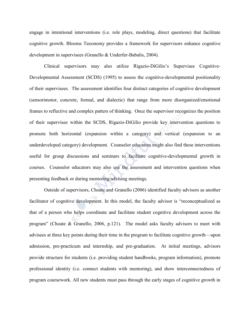engage in intentional interventions (i.e. role plays, modeling, direct questions) that facilitate cognitive growth. Blooms Taxonomy provides a framework for supervisors enhance cognitive development in supervisees (Granello & Underfer-Babalis, 2004).

Clinical supervisors may also utilize Rigazio-DiGilio's Supervisee Cognitive-Developmental Assessment (SCDS) (1995) to assess the cognitive-developmental positionality of their supervisees. The assessment identifies four distinct categories of cognitive development (sensorimotor, concrete, formal, and dialectic) that range from more disorganized/emotional frames to reflective and complex patters of thinking. Once the supervisor recognizes the position of their supervisee within the SCDS, Rigazio-DiGilio provide key intervention questions to promote both horizontal (expansion within a category) and vertical (expansion to an underdeveloped category) development. Counselor educators might also find these interventions useful for group discussions and seminars to facilitate cognitive-developmental growth in courses. Counselor educators may also use the assessment and intervention questions when presenting feedback or during mentoring/advising meetings.

Outside of supervisors, Choate and Granello (2006) identified faculty advisors as another facilitator of cognitive development. In this model, the faculty advisor is "reconceptualized as that of a person who helps coordinate and facilitate student cognitive development across the program" (Choate & Granello, 2006, p.121). The model asks faculty advisors to meet with advisees at three key points during their time in the program to facilitate cognitive growth—upon admission, pre-practicum and internship, and pre-graduation. At initial meetings, advisors provide structure for students (i.e. providing student handbooks, program information), promote professional identity (i.e. connect students with mentoring), and show interconnectedness of program coursework. All new students must pass through the early stages of cognitive growth in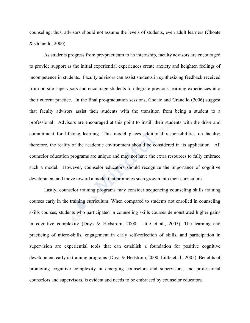counseling, thus, advisors should not assume the levels of students, even adult learners (Choate & Granello, 2006).

As students progress from pre-practicum to an internship, faculty advisors are encouraged to provide support as the initial experiential experiences create anxiety and heighten feelings of incompetence in students. Faculty advisors can assist students in synthesizing feedback received from on-site supervisors and encourage students to integrate previous learning experiences into their current practice. In the final pre-graduation sessions, Choate and Granello (2006) suggest that faculty advisors assist their students with the transition from being a student to a professional. Advisors are encouraged at this point to instill their students with the drive and commitment for lifelong learning. This model places additional responsibilities on faculty; therefore, the reality of the academic environment should be considered in its application. All counselor education programs are unique and may not have the extra resources to fully embrace such a model. However, counselor educators should recognize the importance of cognitive development and move toward a model that promotes such growth into their curriculum.

Lastly, counselor training programs may consider sequencing counseling skills training courses early in the training curriculum. When compared to students not enrolled in counseling skills courses, students who participated in counseling skills courses demonstrated higher gains in cognitive complexity (Duys & Hedstrom, 2000; Little et al., 2005). The learning and practicing of micro-skills, engagement in early self-reflection of skills, and participation in supervision are experiential tools that can establish a foundation for positive cognitive development early in training programs (Duys & Hedstrom, 2000; Little et al., 2005). Benefits of promoting cognitive complexity in emerging counselors and supervisors, and professional counselors and supervisors, is evident and needs to be embraced by counselor educators.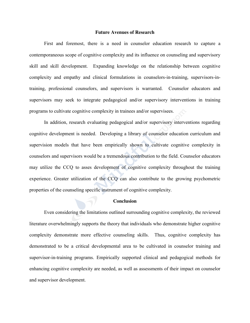#### **Future Avenues of Research**

First and foremost, there is a need in counselor education research to capture a contemporaneous scope of cognitive complexity and its influence on counseling and supervisory skill and skill development. Expanding knowledge on the relationship between cognitive complexity and empathy and clinical formulations in counselors-in-training, supervisors-intraining, professional counselors, and supervisors is warranted. Counselor educators and supervisors may seek to integrate pedagogical and/or supervisory interventions in training programs to cultivate cognitive complexity in trainees and/or supervisees.

In addition, research evaluating pedagogical and/or supervisory interventions regarding cognitive development is needed. Developing a library of counselor education curriculum and supervision models that have been empirically shown to cultivate cognitive complexity in counselors and supervisors would be a tremendous contribution to the field. Counselor educators may utilize the CCQ to asses development of cognitive complexity throughout the training experience. Greater utilization of the CCQ can also contribute to the growing psychometric properties of the counseling specific instrument of cognitive complexity.

### **Conclusion**

Even considering the limitations outlined surrounding cognitive complexity, the reviewed literature overwhelmingly supports the theory that individuals who demonstrate higher cognitive complexity demonstrate more effective counseling skills. Thus, cognitive complexity has demonstrated to be a critical developmental area to be cultivated in counselor training and supervisor-in-training programs. Empirically supported clinical and pedagogical methods for enhancing cognitive complexity are needed, as well as assessments of their impact on counselor and supervisor development.